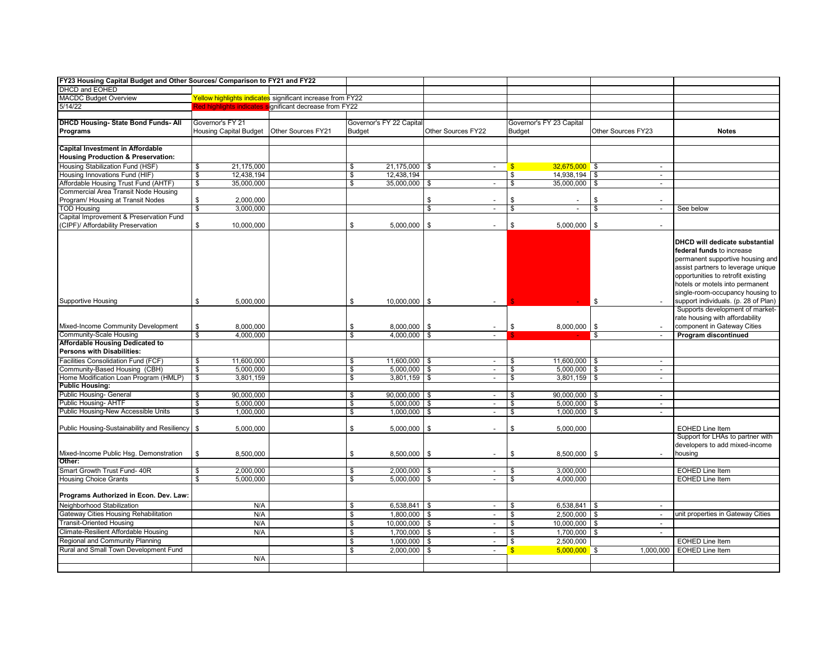| FY23 Housing Capital Budget and Other Sources/ Comparison to FY21 and FY22 |                               |                                                            |                          |                  |                                |               |                          |                                |                                                                         |
|----------------------------------------------------------------------------|-------------------------------|------------------------------------------------------------|--------------------------|------------------|--------------------------------|---------------|--------------------------|--------------------------------|-------------------------------------------------------------------------|
| DHCD and EOHED                                                             |                               |                                                            |                          |                  |                                |               |                          |                                |                                                                         |
| <b>MACDC Budget Overview</b>                                               |                               | Yellow highlights indicates significant increase from FY22 |                          |                  |                                |               |                          |                                |                                                                         |
| 5/14/22                                                                    |                               | Red highlights indicates significant decrease from FY22    |                          |                  |                                |               |                          |                                |                                                                         |
|                                                                            |                               |                                                            |                          |                  |                                |               |                          |                                |                                                                         |
| <b>DHCD Housing- State Bond Funds- All</b>                                 | Governor's FY 21              |                                                            | Governor's FY 22 Capital |                  |                                |               | Governor's FY 23 Capital |                                |                                                                         |
| <b>Programs</b>                                                            | <b>Housing Capital Budget</b> | <b>Other Sources FY21</b>                                  | <b>Budget</b>            |                  | Other Sources FY22             | Budget        |                          | Other Sources FY23             | <b>Notes</b>                                                            |
|                                                                            |                               |                                                            |                          |                  |                                |               |                          |                                |                                                                         |
| <b>Capital Investment in Affordable</b>                                    |                               |                                                            |                          |                  |                                |               |                          |                                |                                                                         |
| <b>Housing Production &amp; Preservation:</b>                              |                               |                                                            |                          |                  |                                |               |                          |                                |                                                                         |
| Housing Stabilization Fund (HSF)                                           | 21,175,000<br>\$              |                                                            | \$                       | 21,175,000 \$    | $\mathbb{Z}^{\times}$          | $\sqrt{3}$    | $32,675,000$ \$          | $\omega$                       |                                                                         |
| Housing Innovations Fund (HIF)                                             | \$<br>12,438,194              |                                                            | \$                       | 12,438,194       |                                | \$            | 14,938,194               | \$<br>$\blacksquare$           |                                                                         |
| Affordable Housing Trust Fund (AHTF)                                       | 35,000,000<br>\$              |                                                            | \$                       | 35,000,000 \$    | $\sim$                         | \$            | 35,000,000               | \$<br>$\omega$                 |                                                                         |
| Commercial Area Transit Node Housing                                       |                               |                                                            |                          |                  |                                |               |                          |                                |                                                                         |
| Program/ Housing at Transit Nodes                                          | \$<br>2,000,000               |                                                            |                          |                  | \$<br>$\sim$                   | \$            |                          | \$<br>$\overline{a}$           |                                                                         |
| <b>TOD Housing</b>                                                         | \$<br>3,000,000               |                                                            |                          |                  | \$<br>$\overline{\phantom{a}}$ | \$            | $\sim$                   | \$<br>$\overline{\phantom{a}}$ | See below                                                               |
| Capital Improvement & Preservation Fund                                    |                               |                                                            |                          |                  |                                |               |                          |                                |                                                                         |
| (CIPF)/ Affordability Preservation                                         | \$<br>10,000,000              |                                                            | \$                       | 5,000,000        | \$<br>$\blacksquare$           | \$            | 5,000,000                | \$<br>$\sim$                   |                                                                         |
|                                                                            |                               |                                                            |                          |                  |                                |               |                          |                                |                                                                         |
|                                                                            |                               |                                                            |                          |                  |                                |               |                          |                                | DHCD will dedicate substantial                                          |
|                                                                            |                               |                                                            |                          |                  |                                |               |                          |                                | federal funds to increase                                               |
|                                                                            |                               |                                                            |                          |                  |                                |               |                          |                                | permanent supportive housing and                                        |
|                                                                            |                               |                                                            |                          |                  |                                |               |                          |                                | assist partners to leverage unique                                      |
|                                                                            |                               |                                                            |                          |                  |                                |               |                          |                                | opportunities to retrofit existing                                      |
|                                                                            |                               |                                                            |                          |                  |                                |               |                          |                                | hotels or motels into permanent                                         |
|                                                                            |                               |                                                            |                          |                  |                                |               |                          |                                | single-room-occupancy housing to                                        |
| <b>Supportive Housing</b>                                                  | \$<br>5,000,000               |                                                            | \$                       | $10,000,000$ \$  |                                |               |                          | \$                             | support individuals. (p. 28 of Plan)<br>Supports development of market- |
|                                                                            |                               |                                                            |                          |                  |                                |               |                          |                                | rate housing with affordability                                         |
| Mixed-Income Community Development                                         | \$<br>8,000,000               |                                                            | \$                       | 8,000,000        | \$<br>$\sim$                   | \$            | 8,000,000                | \$                             | component in Gateway Cities                                             |
| <b>Community-Scale Housing</b>                                             | \$<br>4,000,000               |                                                            | \$                       | $4,000,000$ \$   | $\blacksquare$                 |               |                          | \$<br>$\blacksquare$           | Program discontinued                                                    |
| <b>Affordable Housing Dedicated to</b>                                     |                               |                                                            |                          |                  |                                |               |                          |                                |                                                                         |
| Persons with Disabilities:                                                 |                               |                                                            |                          |                  |                                |               |                          |                                |                                                                         |
| Facilities Consolidation Fund (FCF)                                        | \$<br>11,600,000              |                                                            | \$                       | $11,600,000$ \$  | $\overline{\phantom{a}}$       | \$            | 11,600,000 \$            | $\blacksquare$                 |                                                                         |
| Community-Based Housing (CBH)                                              | \$<br>5,000,000               |                                                            | \$                       | $5,000,000$ \$   | $\sim$                         | \$            | 5,000,000                | S.<br>$\blacksquare$           |                                                                         |
| Home Modification Loan Program (HMLP)                                      | \$<br>3,801,159               |                                                            | \$                       | $3,801,159$ \$   | $\sim$                         | \$            | 3,801,159                | \$<br>$\blacksquare$           |                                                                         |
| <b>Public Housing:</b>                                                     |                               |                                                            |                          |                  |                                |               |                          |                                |                                                                         |
| Public Housing- General                                                    | \$<br>90,000,000              |                                                            | \$                       | $90,000,000$ \$  | $\sim$                         | \$            | 90,000,000 \$            | $\sim$                         |                                                                         |
| Public Housing- AHTF                                                       | \$<br>5,000,000               |                                                            | $\sqrt{2}$               | $5,000,000$ \$   | $\blacksquare$                 | \$            | 5,000,000                | \$<br>$\blacksquare$           |                                                                         |
| Public Housing-New Accessible Units                                        | \$<br>1,000,000               |                                                            | \$                       | $1,000,000$ \$   | $\blacksquare$                 | \$            | 1,000,000                | \$<br>$\blacksquare$           |                                                                         |
|                                                                            |                               |                                                            |                          |                  |                                |               |                          |                                |                                                                         |
| Public Housing-Sustainability and Resiliency   \$                          | 5,000,000                     |                                                            | \$                       | $5,000,000$ \$   | $\sim$                         | \$            | 5,000,000                |                                | <b>EOHED Line Item</b>                                                  |
|                                                                            |                               |                                                            |                          |                  |                                |               |                          |                                | Support for LHAs to partner with                                        |
|                                                                            |                               |                                                            |                          |                  |                                |               |                          |                                | developers to add mixed-income                                          |
| Mixed-Income Public Hsg. Demonstration                                     | \$<br>8,500,000               |                                                            | \$                       | 8,500,000        | \$<br>$\overline{\phantom{a}}$ | \$            | 8,500,000                | \$                             | housing                                                                 |
| Other:                                                                     |                               |                                                            |                          |                  |                                |               |                          |                                |                                                                         |
| Smart Growth Trust Fund- 40R                                               | \$<br>2,000,000               |                                                            | \$                       | $2,000,000$ \$   | $\sim$                         | \$            | 3,000,000                |                                | <b>EOHED Line Item</b>                                                  |
| <b>Housing Choice Grants</b>                                               | \$<br>5,000,000               |                                                            | \$                       | $5,000,000$ \ \$ | ÷.                             | \$            | 4,000,000                |                                | <b>EOHED Line Item</b>                                                  |
|                                                                            |                               |                                                            |                          |                  |                                |               |                          |                                |                                                                         |
| Programs Authorized in Econ. Dev. Law:                                     |                               |                                                            |                          |                  |                                |               |                          |                                |                                                                         |
| Neighborhood Stabilization                                                 | N/A                           |                                                            | \$                       | $6,538,841$ \$   | $\sim$                         | \$            | 6,538,841                | \$<br>$\blacksquare$           |                                                                         |
| Gateway Cities Housing Rehabilitation                                      | N/A                           |                                                            | \$                       | $1,800,000$ \$   | $\mathbf{r}$                   | \$            | 2,500,000                | \$<br>$\sim$                   | unit properties in Gateway Cities                                       |
| <b>Transit-Oriented Housing</b>                                            | N/A                           |                                                            | \$                       | $10,000,000$ \$  | $\blacksquare$                 | \$            | 10,000,000               | <b>S</b><br>$\sim$             |                                                                         |
| Climate-Resilient Affordable Housing                                       | N/A                           |                                                            | \$                       | 1,700,000        | \$<br>$\blacksquare$           | \$            | 1,700,000                | \$<br>$\sim$                   |                                                                         |
| Regional and Community Planning                                            |                               |                                                            | \$                       | $1,000,000$ \$   | $\mathbf{r}$                   | \$            | 2,500,000                |                                | <b>EOHED Line Item</b>                                                  |
| Rural and Small Town Development Fund                                      |                               |                                                            | \$                       | 2,000,000        | \$<br>$\sim$                   | $\mathbf{\$}$ | $5,000,000$ \$           | 1,000,000                      | <b>EOHED Line Item</b>                                                  |
|                                                                            | N/A                           |                                                            |                          |                  |                                |               |                          |                                |                                                                         |
|                                                                            |                               |                                                            |                          |                  |                                |               |                          |                                |                                                                         |